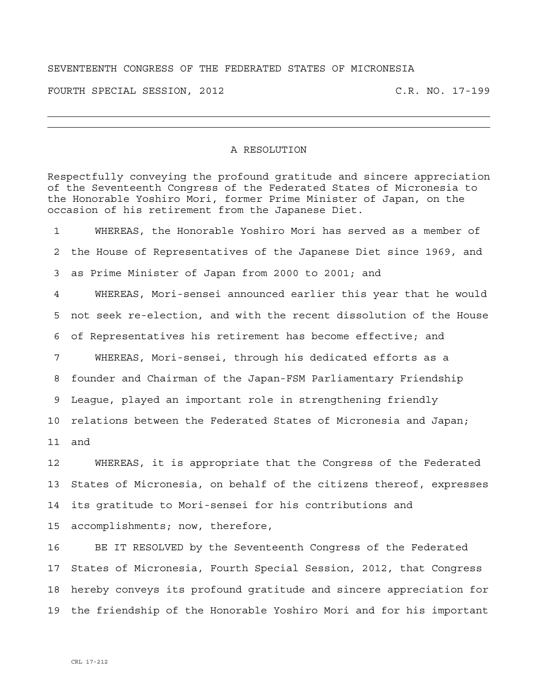## SEVENTEENTH CONGRESS OF THE FEDERATED STATES OF MICRONESIA

FOURTH SPECIAL SESSION, 2012 C.R. NO. 17-199

## A RESOLUTION

Respectfully conveying the profound gratitude and sincere appreciation of the Seventeenth Congress of the Federated States of Micronesia to the Honorable Yoshiro Mori, former Prime Minister of Japan, on the occasion of his retirement from the Japanese Diet.

1 WHEREAS, the Honorable Yoshiro Mori has served as a member of 2 the House of Representatives of the Japanese Diet since 1969, and 3 as Prime Minister of Japan from 2000 to 2001; and 4 WHEREAS, Mori-sensei announced earlier this year that he would 5 not seek re-election, and with the recent dissolution of the House 6 of Representatives his retirement has become effective; and 7 WHEREAS, Mori-sensei, through his dedicated efforts as a 8 founder and Chairman of the Japan-FSM Parliamentary Friendship 9 League, played an important role in strengthening friendly 10 relations between the Federated States of Micronesia and Japan; 11 and 12 WHEREAS, it is appropriate that the Congress of the Federated 13 States of Micronesia, on behalf of the citizens thereof, expresses 14 its gratitude to Mori-sensei for his contributions and 15 accomplishments; now, therefore, 16 BE IT RESOLVED by the Seventeenth Congress of the Federated

17 States of Micronesia, Fourth Special Session, 2012, that Congress 18 hereby conveys its profound gratitude and sincere appreciation for 19 the friendship of the Honorable Yoshiro Mori and for his important